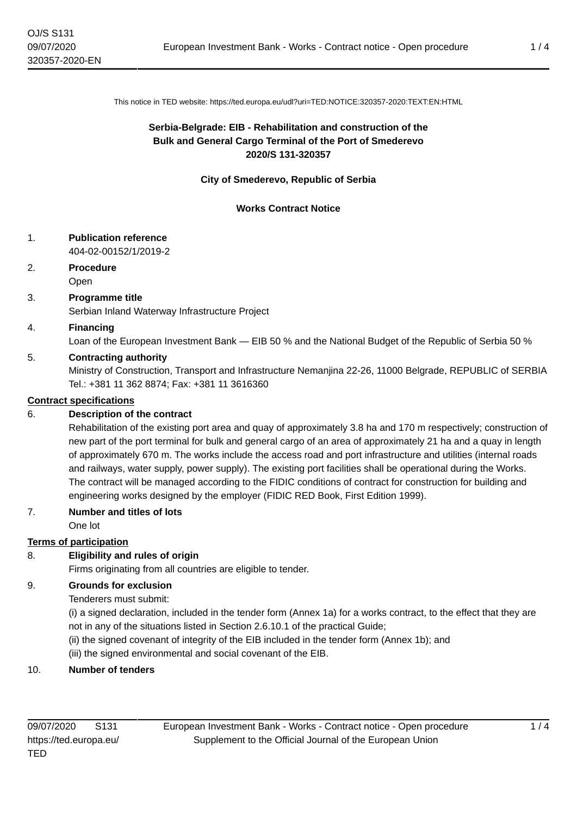This notice in TED website: https://ted.europa.eu/udl?uri=TED:NOTICE:320357-2020:TEXT:EN:HTML

# **Serbia-Belgrade: EIB - Rehabilitation and construction of the Bulk and General Cargo Terminal of the Port of Smederevo 2020/S 131-320357**

### **City of Smederevo, Republic of Serbia**

### **Works Contract Notice**

## 1. **Publication reference**

404-02-00152/1/2019-2

# 2. **Procedure**

Open

## 3. **Programme title**

Serbian Inland Waterway Infrastructure Project

### 4. **Financing**

Loan of the European Investment Bank — EIB 50 % and the National Budget of the Republic of Serbia 50 %

## 5. **Contracting authority**

Ministry of Construction, Transport and Infrastructure Nemanjina 22-26, 11000 Belgrade, REPUBLIC of SERBIA Tel.: +381 11 362 8874; Fax: +381 11 3616360

### **Contract specifications**

## 6. **Description of the contract**

Rehabilitation of the existing port area and quay of approximately 3.8 ha and 170 m respectively; construction of new part of the port terminal for bulk and general cargo of an area of approximately 21 ha and a quay in length of approximately 670 m. The works include the access road and port infrastructure and utilities (internal roads and railways, water supply, power supply). The existing port facilities shall be operational during the Works. The contract will be managed according to the FIDIC conditions of contract for construction for building and engineering works designed by the employer (FIDIC RED Book, First Edition 1999).

## 7. **Number and titles of lots**

One lot

## **Terms of participation**

## 8. **Eligibility and rules of origin**

Firms originating from all countries are eligible to tender.

#### 9. **Grounds for exclusion**

Tenderers must submit:

(i) a signed declaration, included in the tender form (Annex 1a) for a works contract, to the effect that they are not in any of the situations listed in Section 2.6.10.1 of the practical Guide;

(ii) the signed covenant of integrity of the EIB included in the tender form (Annex 1b); and

(iii) the signed environmental and social covenant of the EIB.

#### 10. **Number of tenders**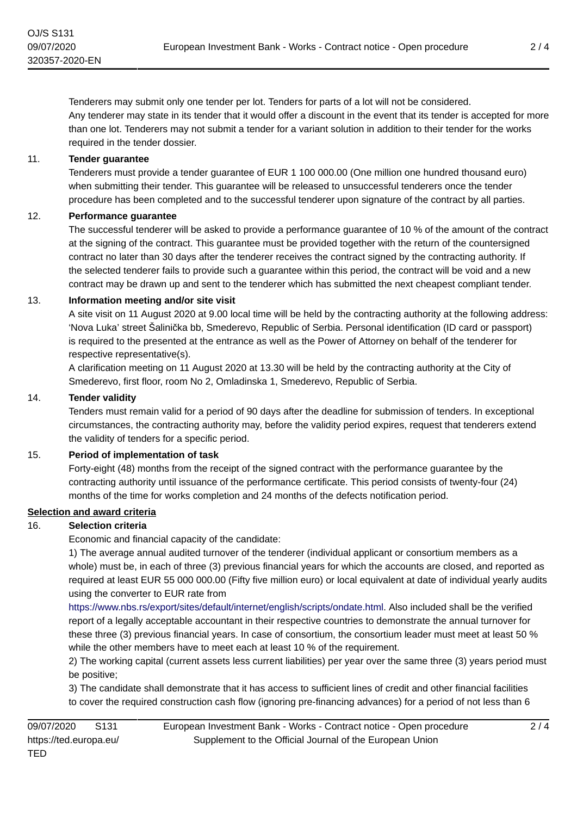Tenderers may submit only one tender per lot. Tenders for parts of a lot will not be considered. Any tenderer may state in its tender that it would offer a discount in the event that its tender is accepted for more than one lot. Tenderers may not submit a tender for a variant solution in addition to their tender for the works required in the tender dossier.

### 11. **Tender guarantee**

Tenderers must provide a tender guarantee of EUR 1 100 000.00 (One million one hundred thousand euro) when submitting their tender. This guarantee will be released to unsuccessful tenderers once the tender procedure has been completed and to the successful tenderer upon signature of the contract by all parties.

### 12. **Performance guarantee**

The successful tenderer will be asked to provide a performance guarantee of 10 % of the amount of the contract at the signing of the contract. This guarantee must be provided together with the return of the countersigned contract no later than 30 days after the tenderer receives the contract signed by the contracting authority. If the selected tenderer fails to provide such a guarantee within this period, the contract will be void and a new contract may be drawn up and sent to the tenderer which has submitted the next cheapest compliant tender.

### 13. **Information meeting and/or site visit**

A site visit on 11 August 2020 at 9.00 local time will be held by the contracting authority at the following address: 'Nova Luka' street Šalinička bb, Smederevo, Republic of Serbia. Personal identification (ID card or passport) is required to the presented at the entrance as well as the Power of Attorney on behalf of the tenderer for respective representative(s).

A clarification meeting on 11 August 2020 at 13.30 will be held by the contracting authority at the City of Smederevo, first floor, room No 2, Omladinska 1, Smederevo, Republic of Serbia.

#### 14. **Tender validity**

Tenders must remain valid for a period of 90 days after the deadline for submission of tenders. In exceptional circumstances, the contracting authority may, before the validity period expires, request that tenderers extend the validity of tenders for a specific period.

#### 15. **Period of implementation of task**

Forty-eight (48) months from the receipt of the signed contract with the performance guarantee by the contracting authority until issuance of the performance certificate. This period consists of twenty-four (24) months of the time for works completion and 24 months of the defects notification period.

# **Selection and award criteria**

## 16. **Selection criteria**

Economic and financial capacity of the candidate:

1) The average annual audited turnover of the tenderer (individual applicant or consortium members as a whole) must be, in each of three (3) previous financial years for which the accounts are closed, and reported as required at least EUR 55 000 000.00 (Fifty five million euro) or local equivalent at date of individual yearly audits using the converter to EUR rate from

[https://www.nbs.rs/export/sites/default/internet/english/scripts/ondate.html.](https://www.nbs.rs/export/sites/default/internet/english/scripts/ondate.html) Also included shall be the verified report of a legally acceptable accountant in their respective countries to demonstrate the annual turnover for these three (3) previous financial years. In case of consortium, the consortium leader must meet at least 50 % while the other members have to meet each at least 10 % of the requirement.

2) The working capital (current assets less current liabilities) per year over the same three (3) years period must be positive;

3) The candidate shall demonstrate that it has access to sufficient lines of credit and other financial facilities to cover the required construction cash flow (ignoring pre-financing advances) for a period of not less than 6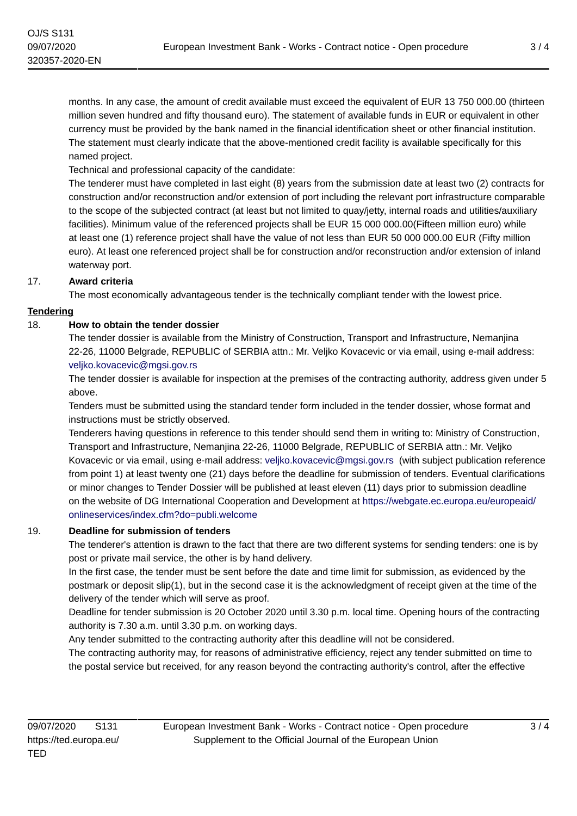months. In any case, the amount of credit available must exceed the equivalent of EUR 13 750 000.00 (thirteen million seven hundred and fifty thousand euro). The statement of available funds in EUR or equivalent in other currency must be provided by the bank named in the financial identification sheet or other financial institution. The statement must clearly indicate that the above-mentioned credit facility is available specifically for this named project.

Technical and professional capacity of the candidate:

The tenderer must have completed in last eight (8) years from the submission date at least two (2) contracts for construction and/or reconstruction and/or extension of port including the relevant port infrastructure comparable to the scope of the subjected contract (at least but not limited to quay/jetty, internal roads and utilities/auxiliary facilities). Minimum value of the referenced projects shall be EUR 15 000 000.00(Fifteen million euro) while at least one (1) reference project shall have the value of not less than EUR 50 000 000.00 EUR (Fifty million euro). At least one referenced project shall be for construction and/or reconstruction and/or extension of inland waterway port.

# 17. **Award criteria**

The most economically advantageous tender is the technically compliant tender with the lowest price.

## **Tendering**

## 18. **How to obtain the tender dossier**

The tender dossier is available from the Ministry of Construction, Transport and Infrastructure, Nemanjina 22-26, 11000 Belgrade, REPUBLIC of SERBIA attn.: Mr. Veljko Kovacevic or via email, using e-mail address: [veljko.kovacevic@mgsi.gov.rs](mailto:veljko.kovacevic@mgsi.gov.rs)

The tender dossier is available for inspection at the premises of the contracting authority, address given under 5 above.

Tenders must be submitted using the standard tender form included in the tender dossier, whose format and instructions must be strictly observed.

Tenderers having questions in reference to this tender should send them in writing to: Ministry of Construction, Transport and Infrastructure, Nemanjina 22-26, 11000 Belgrade, REPUBLIC of SERBIA attn.: Mr. Veljko Kovacevic or via email, using e-mail address: [veljko.kovacevic@mgsi.gov.rs](mailto:veljko.kovacevic@mgsi.gov.rs) (with subject publication reference from point 1) at least twenty one (21) days before the deadline for submission of tenders. Eventual clarifications or minor changes to Tender Dossier will be published at least eleven (11) days prior to submission deadline on the website of DG International Cooperation and Development at [https://webgate.ec.europa.eu/europeaid/](https://webgate.ec.europa.eu/europeaid/onlineservices/index.cfm?do=publi.welcome) [onlineservices/index.cfm?do=publi.welcome](https://webgate.ec.europa.eu/europeaid/onlineservices/index.cfm?do=publi.welcome)

## 19. **Deadline for submission of tenders**

The tenderer's attention is drawn to the fact that there are two different systems for sending tenders: one is by post or private mail service, the other is by hand delivery.

In the first case, the tender must be sent before the date and time limit for submission, as evidenced by the postmark or deposit slip(1), but in the second case it is the acknowledgment of receipt given at the time of the delivery of the tender which will serve as proof.

Deadline for tender submission is 20 October 2020 until 3.30 p.m. local time. Opening hours of the contracting authority is 7.30 a.m. until 3.30 p.m. on working days.

Any tender submitted to the contracting authority after this deadline will not be considered.

The contracting authority may, for reasons of administrative efficiency, reject any tender submitted on time to the postal service but received, for any reason beyond the contracting authority's control, after the effective